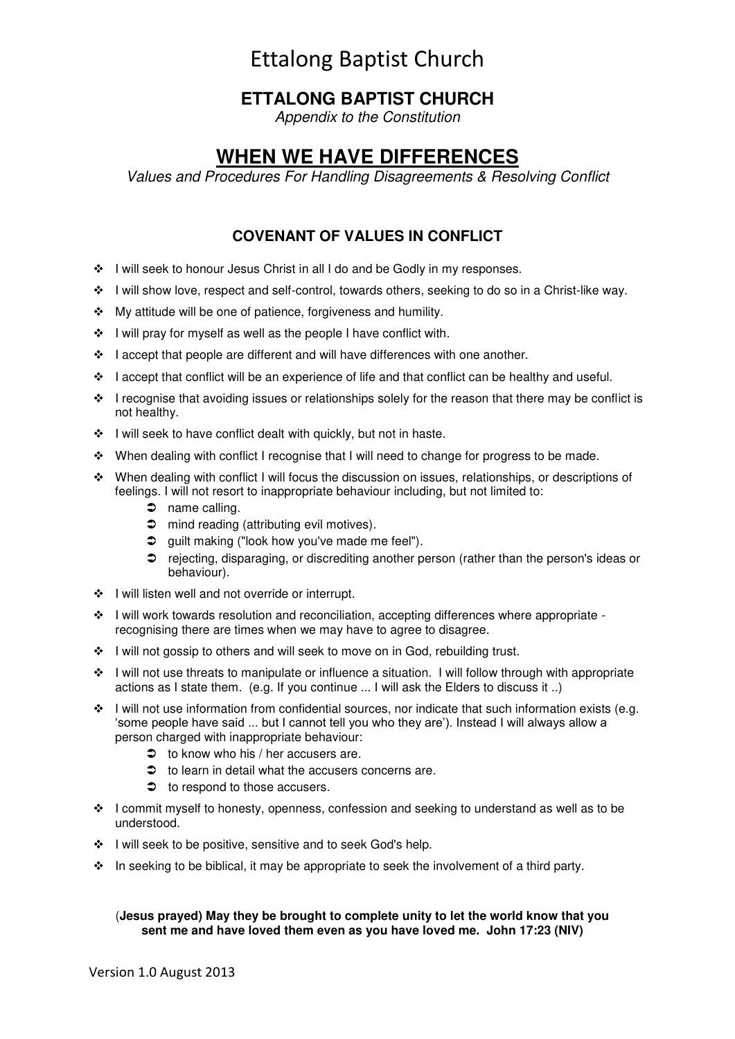# Ettalong Baptist Church

# **ETTALONG BAPTIST CHURCH**

*Appendix to the Constitution* 

# **WHEN WE HAVE DIFFERENCES**

*Values and Procedures For Handling Disagreements & Resolving Conflict* 

# **COVENANT OF VALUES IN CONFLICT**

- I will seek to honour Jesus Christ in all I do and be Godly in my responses.
- \* I will show love, respect and self-control, towards others, seeking to do so in a Christ-like way.
- My attitude will be one of patience, forgiveness and humility.
- $\div$  I will pray for myself as well as the people I have conflict with.
- $\cdot$  I accept that people are different and will have differences with one another.
- $\div$  I accept that conflict will be an experience of life and that conflict can be healthy and useful.
- $\cdot \cdot$  I recognise that avoiding issues or relationships solely for the reason that there may be conflict is not healthy.
- ◆ I will seek to have conflict dealt with quickly, but not in haste.
- When dealing with conflict I recognise that I will need to change for progress to be made.
- When dealing with conflict I will focus the discussion on issues, relationships, or descriptions of feelings. I will not resort to inappropriate behaviour including, but not limited to:
	- $\supset$  name calling.
	- $\supset$  mind reading (attributing evil motives).
	- **◯** guilt making ("look how you've made me feel").
	- rejecting, disparaging, or discrediting another person (rather than the person's ideas or behaviour).
- ❖ I will listen well and not override or interrupt.
- $\cdot \cdot$  I will work towards resolution and reconciliation, accepting differences where appropriate recognising there are times when we may have to agree to disagree.
- $\cdot \cdot$  I will not gossip to others and will seek to move on in God, rebuilding trust.
- $\cdot \cdot$  I will not use threats to manipulate or influence a situation. I will follow through with appropriate actions as I state them. (e.g. If you continue ... I will ask the Elders to discuss it ..)
- $\cdot$  I will not use information from confidential sources, nor indicate that such information exists (e.g. 'some people have said ... but I cannot tell you who they are'). Instead I will always allow a person charged with inappropriate behaviour:
	- $\Rightarrow$  to know who his / her accusers are.
	- $\Rightarrow$  to learn in detail what the accusers concerns are.
	- $\bullet$  to respond to those accusers.
- $\div$  I commit myself to honesty, openness, confession and seeking to understand as well as to be understood.
- ❖ I will seek to be positive, sensitive and to seek God's help.
- $\cdot \cdot$  In seeking to be biblical, it may be appropriate to seek the involvement of a third party.

#### (**Jesus prayed) May they be brought to complete unity to let the world know that you sent me and have loved them even as you have loved me. John 17:23 (NIV)**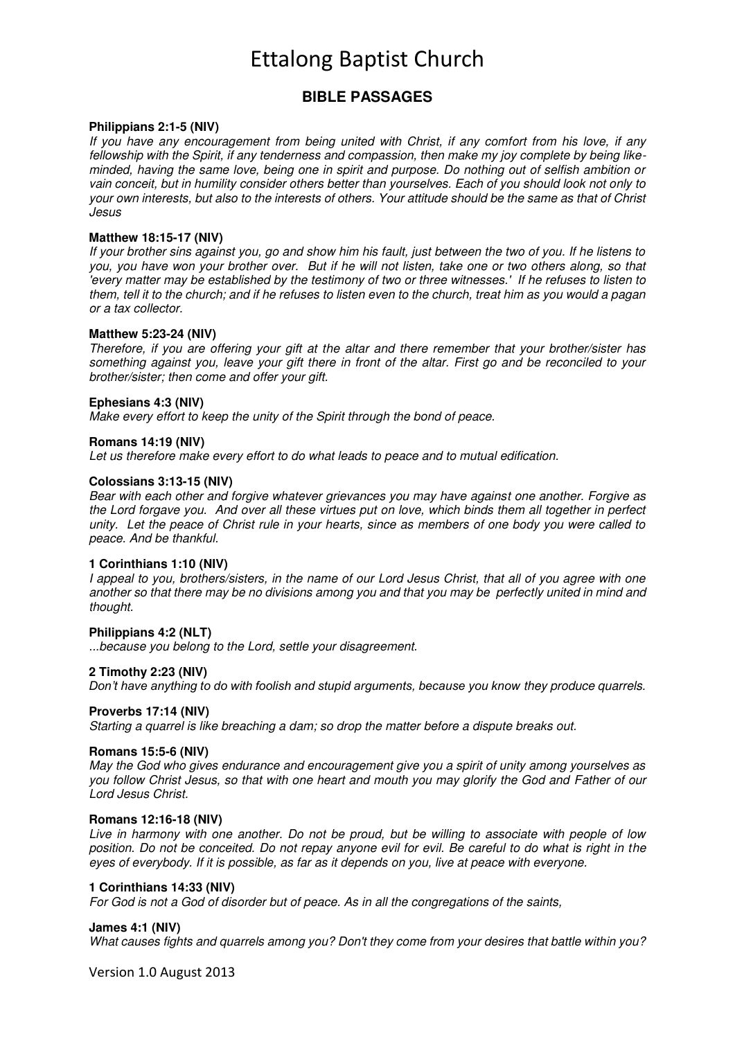# Ettalong Baptist Church

## **BIBLE PASSAGES**

#### **Philippians 2:1-5 (NIV)**

*If you have any encouragement from being united with Christ, if any comfort from his love, if any fellowship with the Spirit, if any tenderness and compassion, then make my joy complete by being likeminded, having the same love, being one in spirit and purpose. Do nothing out of selfish ambition or vain conceit, but in humility consider others better than yourselves. Each of you should look not only to your own interests, but also to the interests of others. Your attitude should be the same as that of Christ Jesus* 

#### **Matthew 18:15-17 (NIV)**

*If your brother sins against you, go and show him his fault, just between the two of you. If he listens to you, you have won your brother over. But if he will not listen, take one or two others along, so that 'every matter may be established by the testimony of two or three witnesses.' If he refuses to listen to them, tell it to the church; and if he refuses to listen even to the church, treat him as you would a pagan or a tax collector.* 

#### **Matthew 5:23-24 (NIV)**

*Therefore, if you are offering your gift at the altar and there remember that your brother/sister has something against you, leave your gift there in front of the altar. First go and be reconciled to your brother/sister; then come and offer your gift.* 

#### **Ephesians 4:3 (NIV)**

*Make every effort to keep the unity of the Spirit through the bond of peace.* 

#### **Romans 14:19 (NIV)**

*Let us therefore make every effort to do what leads to peace and to mutual edification.* 

#### **Colossians 3:13-15 (NIV)**

*Bear with each other and forgive whatever grievances you may have against one another. Forgive as the Lord forgave you. And over all these virtues put on love, which binds them all together in perfect unity. Let the peace of Christ rule in your hearts, since as members of one body you were called to peace. And be thankful.* 

#### **1 Corinthians 1:10 (NIV)**

*I appeal to you, brothers/sisters, in the name of our Lord Jesus Christ, that all of you agree with one another so that there may be no divisions among you and that you may be perfectly united in mind and thought.* 

#### **Philippians 4:2 (NLT)**

*...because you belong to the Lord, settle your disagreement.* 

#### **2 Timothy 2:23 (NIV)**

*Don't have anything to do with foolish and stupid arguments, because you know they produce quarrels.* 

#### **Proverbs 17:14 (NIV)**

*Starting a quarrel is like breaching a dam; so drop the matter before a dispute breaks out.* 

#### **Romans 15:5-6 (NIV)**

*May the God who gives endurance and encouragement give you a spirit of unity among yourselves as you follow Christ Jesus, so that with one heart and mouth you may glorify the God and Father of our Lord Jesus Christ.* 

#### **Romans 12:16-18 (NIV)**

*Live in harmony with one another. Do not be proud, but be willing to associate with people of low position. Do not be conceited. Do not repay anyone evil for evil. Be careful to do what is right in the eyes of everybody. If it is possible, as far as it depends on you, live at peace with everyone.* 

#### **1 Corinthians 14:33 (NIV)**

*For God is not a God of disorder but of peace. As in all the congregations of the saints,* 

#### **James 4:1 (NIV)**

*What causes fights and quarrels among you? Don't they come from your desires that battle within you?* 

Version 1.0 August 2013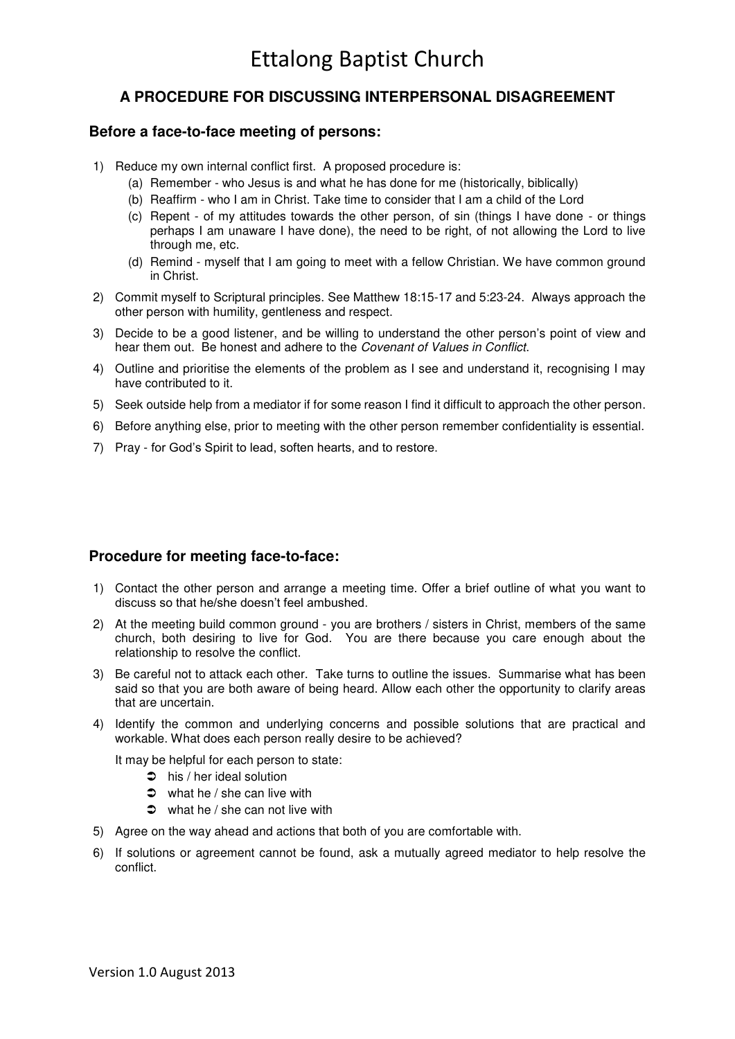# **A PROCEDURE FOR DISCUSSING INTERPERSONAL DISAGREEMENT**

### **Before a face-to-face meeting of persons:**

- 1) Reduce my own internal conflict first. A proposed procedure is:
	- (a) Remember who Jesus is and what he has done for me (historically, biblically)
	- (b) Reaffirm who I am in Christ. Take time to consider that I am a child of the Lord
	- (c) Repent of my attitudes towards the other person, of sin (things I have done or things perhaps I am unaware I have done), the need to be right, of not allowing the Lord to live through me, etc.
	- (d) Remind myself that I am going to meet with a fellow Christian. We have common ground in Christ.
- 2) Commit myself to Scriptural principles. See Matthew 18:15-17 and 5:23-24. Always approach the other person with humility, gentleness and respect.
- 3) Decide to be a good listener, and be willing to understand the other person's point of view and hear them out. Be honest and adhere to the *Covenant of Values in Conflict*.
- 4) Outline and prioritise the elements of the problem as I see and understand it, recognising I may have contributed to it.
- 5) Seek outside help from a mediator if for some reason I find it difficult to approach the other person.
- 6) Before anything else, prior to meeting with the other person remember confidentiality is essential.
- 7) Pray for God's Spirit to lead, soften hearts, and to restore.

## **Procedure for meeting face-to-face:**

- 1) Contact the other person and arrange a meeting time. Offer a brief outline of what you want to discuss so that he/she doesn't feel ambushed.
- 2) At the meeting build common ground you are brothers / sisters in Christ, members of the same church, both desiring to live for God. You are there because you care enough about the relationship to resolve the conflict.
- 3) Be careful not to attack each other. Take turns to outline the issues. Summarise what has been said so that you are both aware of being heard. Allow each other the opportunity to clarify areas that are uncertain.
- 4) Identify the common and underlying concerns and possible solutions that are practical and workable. What does each person really desire to be achieved?

It may be helpful for each person to state:

- $\Rightarrow$  his / her ideal solution
- $\bullet$  what he / she can live with
- $\bullet$  what he / she can not live with
- 5) Agree on the way ahead and actions that both of you are comfortable with.
- 6) If solutions or agreement cannot be found, ask a mutually agreed mediator to help resolve the conflict.